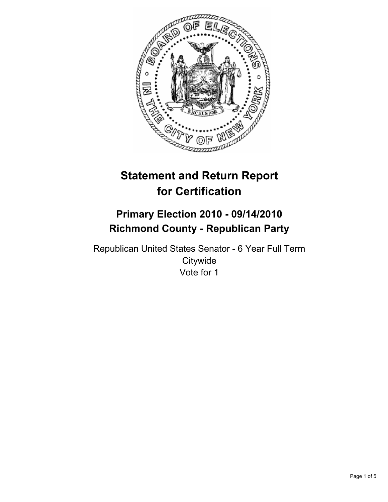

# **Statement and Return Report for Certification**

## **Primary Election 2010 - 09/14/2010 Richmond County - Republican Party**

Republican United States Senator - 6 Year Full Term **Citywide** Vote for 1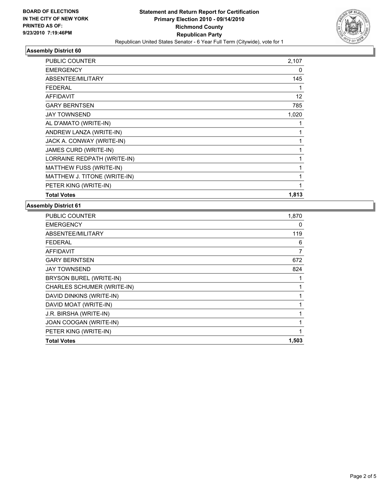

### **Assembly District 60**

| <b>PUBLIC COUNTER</b>        | 2,107        |
|------------------------------|--------------|
| <b>EMERGENCY</b>             | 0            |
| ABSENTEE/MILITARY            | 145          |
| <b>FEDERAL</b>               | 1            |
| <b>AFFIDAVIT</b>             | 12           |
| <b>GARY BERNTSEN</b>         | 785          |
| <b>JAY TOWNSEND</b>          | 1,020        |
| AL D'AMATO (WRITE-IN)        | 1            |
| ANDREW LANZA (WRITE-IN)      | 1            |
| JACK A. CONWAY (WRITE-IN)    | 1            |
| JAMES CURD (WRITE-IN)        | 1            |
| LORRAINE REDPATH (WRITE-IN)  | 1            |
| MATTHEW FUSS (WRITE-IN)      | 1            |
| MATTHEW J. TITONE (WRITE-IN) | $\mathbf{1}$ |
| PETER KING (WRITE-IN)        | 1            |
| <b>Total Votes</b>           | 1,813        |

#### **Assembly District 61**

| 1,870 |
|-------|
| 0     |
| 119   |
| 6     |
| 7     |
| 672   |
| 824   |
| 1     |
|       |
| 1     |
| 1     |
| 1     |
| 1     |
| 1     |
| 1,503 |
|       |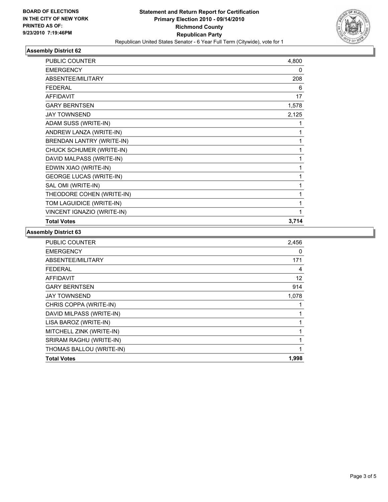

#### **Assembly District 62**

| <b>PUBLIC COUNTER</b>            | 4,800 |
|----------------------------------|-------|
| <b>EMERGENCY</b>                 | 0     |
| ABSENTEE/MILITARY                | 208   |
| <b>FEDERAL</b>                   | 6     |
| <b>AFFIDAVIT</b>                 | 17    |
| <b>GARY BERNTSEN</b>             | 1,578 |
| <b>JAY TOWNSEND</b>              | 2,125 |
| ADAM SUSS (WRITE-IN)             | 1     |
| ANDREW LANZA (WRITE-IN)          | 1     |
| <b>BRENDAN LANTRY (WRITE-IN)</b> | 1     |
| CHUCK SCHUMER (WRITE-IN)         | 1     |
| DAVID MALPASS (WRITE-IN)         | 1     |
| EDWIN XIAO (WRITE-IN)            | 1     |
| <b>GEORGE LUCAS (WRITE-IN)</b>   | 1     |
| SAL OMI (WRITE-IN)               | 1     |
| THEODORE COHEN (WRITE-IN)        | 1     |
| TOM LAGUIDICE (WRITE-IN)         | 1     |
| VINCENT IGNAZIO (WRITE-IN)       | 1     |
| <b>Total Votes</b>               | 3,714 |

#### **Assembly District 63**

| PUBLIC COUNTER           | 2,456 |
|--------------------------|-------|
| <b>EMERGENCY</b>         | 0     |
| ABSENTEE/MILITARY        | 171   |
| <b>FEDERAL</b>           | 4     |
| <b>AFFIDAVIT</b>         | 12    |
| <b>GARY BERNTSEN</b>     | 914   |
| <b>JAY TOWNSEND</b>      | 1,078 |
| CHRIS COPPA (WRITE-IN)   | 1     |
| DAVID MILPASS (WRITE-IN) | 1     |
| LISA BAROZ (WRITE-IN)    | 1     |
| MITCHELL ZINK (WRITE-IN) | 1     |
| SRIRAM RAGHU (WRITE-IN)  | 1     |
| THOMAS BALLOU (WRITE-IN) | 1     |
| <b>Total Votes</b>       | 1,998 |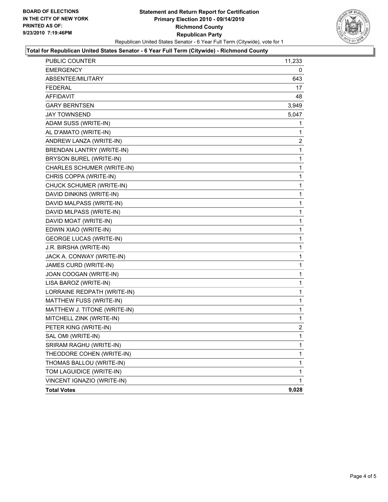

#### **Total for Republican United States Senator - 6 Year Full Term (Citywide) - Richmond County**

| PUBLIC COUNTER                 | 11,233      |
|--------------------------------|-------------|
| <b>EMERGENCY</b>               | 0           |
| ABSENTEE/MILITARY              | 643         |
| <b>FEDERAL</b>                 | 17          |
| <b>AFFIDAVIT</b>               | 48          |
| <b>GARY BERNTSEN</b>           | 3,949       |
| <b>JAY TOWNSEND</b>            | 5,047       |
| ADAM SUSS (WRITE-IN)           | 1           |
| AL D'AMATO (WRITE-IN)          | 1           |
| ANDREW LANZA (WRITE-IN)        | 2           |
| BRENDAN LANTRY (WRITE-IN)      | 1           |
| BRYSON BUREL (WRITE-IN)        | 1           |
| CHARLES SCHUMER (WRITE-IN)     | 1           |
| CHRIS COPPA (WRITE-IN)         | 1           |
| CHUCK SCHUMER (WRITE-IN)       | 1           |
| DAVID DINKINS (WRITE-IN)       | 1           |
| DAVID MALPASS (WRITE-IN)       | 1           |
| DAVID MILPASS (WRITE-IN)       | 1           |
| DAVID MOAT (WRITE-IN)          | 1           |
| EDWIN XIAO (WRITE-IN)          | 1           |
| <b>GEORGE LUCAS (WRITE-IN)</b> | 1           |
| J.R. BIRSHA (WRITE-IN)         | 1           |
| JACK A. CONWAY (WRITE-IN)      | 1           |
| JAMES CURD (WRITE-IN)          | 1           |
| JOAN COOGAN (WRITE-IN)         | 1           |
| LISA BAROZ (WRITE-IN)          | 1           |
| LORRAINE REDPATH (WRITE-IN)    | 1           |
| MATTHEW FUSS (WRITE-IN)        | 1           |
| MATTHEW J. TITONE (WRITE-IN)   | 1           |
| MITCHELL ZINK (WRITE-IN)       | 1           |
| PETER KING (WRITE-IN)          | 2           |
| SAL OMI (WRITE-IN)             | $\mathbf 1$ |
| SRIRAM RAGHU (WRITE-IN)        | 1           |
| THEODORE COHEN (WRITE-IN)      | 1           |
| THOMAS BALLOU (WRITE-IN)       | 1           |
| TOM LAGUIDICE (WRITE-IN)       | 1           |
| VINCENT IGNAZIO (WRITE-IN)     | 1           |
| <b>Total Votes</b>             | 9,028       |
|                                |             |